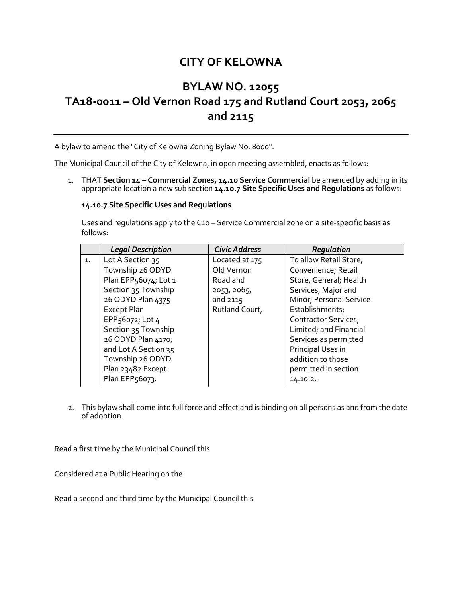## **CITY OF KELOWNA**

## **BYLAW NO. 12055 TA18-0011 – Old Vernon Road 175 and Rutland Court 2053, 2065 and 2115**

A bylaw to amend the "City of Kelowna Zoning Bylaw No. 8000".

The Municipal Council of the City of Kelowna, in open meeting assembled, enacts as follows:

1. THAT **Section 14 – Commercial Zones, 14.10 Service Commercial** be amended by adding in its appropriate location a new sub section **14.10.7 Site Specific Uses and Regulations** as follows:

## **14.10.7 Site Specific Uses and Regulations**

Uses and regulations apply to the C10 – Service Commercial zone on a site-specific basis as follows:

|    | <b>Legal Description</b> | <b>Civic Address</b> | Regulation              |
|----|--------------------------|----------------------|-------------------------|
| 1. | Lot A Section 35         | Located at 175       | To allow Retail Store,  |
|    | Township 26 ODYD         | Old Vernon           | Convenience; Retail     |
|    | Plan EPP56074; Lot 1     | Road and             | Store, General; Health  |
|    | Section 35 Township      | 2053, 2065,          | Services, Major and     |
|    | 26 ODYD Plan 4375        | and 2115             | Minor; Personal Service |
|    | <b>Except Plan</b>       | Rutland Court,       | Establishments;         |
|    | EPP56072; Lot 4          |                      | Contractor Services,    |
|    | Section 35 Township      |                      | Limited; and Financial  |
|    | 26 ODYD Plan 4170;       |                      | Services as permitted   |
|    | and Lot A Section 35     |                      | Principal Uses in       |
|    | Township 26 ODYD         |                      | addition to those       |
|    | Plan 23482 Except        |                      | permitted in section    |
|    | Plan EPP56073.           |                      | 14.10.2.                |

2. This bylaw shall come into full force and effect and is binding on all persons as and from the date of adoption.

Read a first time by the Municipal Council this

Considered at a Public Hearing on the

Read a second and third time by the Municipal Council this